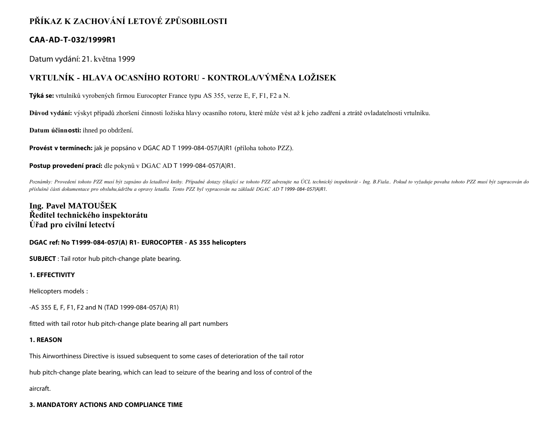## **PŘÍKAZ K ZACHOVÁNÍ LETOVÉ ZPŮSOBILOSTI**

### **CAA-AD-T-032/1999R1**

Datum vydání: 21. května 1999

# **VRTULNÍK - HLAVA OCASNÍHO ROTORU - KONTROLA/VÝMĚNA LOŽISEK**

**Týká se:** vrtulníků vyrobených firmou Eurocopter France typu AS 355, verze E, F, F1, F2 a N.

**Důvod vydání:** výskyt případů zhoršení činnosti ložiska hlavy ocasního rotoru, které může vést až k jeho zadření a ztrátě ovladatelnosti vrtulníku.

**Datum účinnosti:** ihned po obdržení.

**Provést v termínech:** jak je popsáno v DGAC AD T 1999-084-057(A)R1 (příloha tohoto PZZ).

#### **Postup provedení prací:** dle pokynů v DGAC AD T 1999-084-057(A)R1.

Poznámky: Provedení tohoto PZZ musí být zapsáno do letadlové knihy. Případné dotazy týkající se tohoto PZZ adresujte na ÚCL technický inspektorát - Ing. B.Fiala.. Pokud to vyžaduje povaha tohoto PZZ musí být zapracován do *příslušné části dokumentace pro obsluhu,údržbu a opravy letadla. Tento PZZ byl vypracován na základě DGAC AD T 1999- 084- 057(A)R1.*

## **Ing. Pavel MATOUŠEK Ředitel technického inspektorátu Úřad pro civilní letectví**

#### **DGAC ref: No T1999-084-057(A) R1- EUROCOPTER - AS 355 helicopters**

**SUBJECT** : Tail rotor hub pitch-change plate bearing.

### **1. EFFECTIVITY**

Helicopters models :

-AS 355 E, F, F1, F2 and N (TAD 1999-084-057(A) R1)

fitted with tail rotor hub pitch-change plate bearing all part numbers

#### **1. REASON**

This Airworthiness Directive is issued subsequent to some cases of deterioration of the tail rotor

hub pitch-change plate bearing, which can lead to seizure of the bearing and loss of control of the

aircraft.

#### **3. MANDATORY ACTIONS AND COMPLIANCE TIME**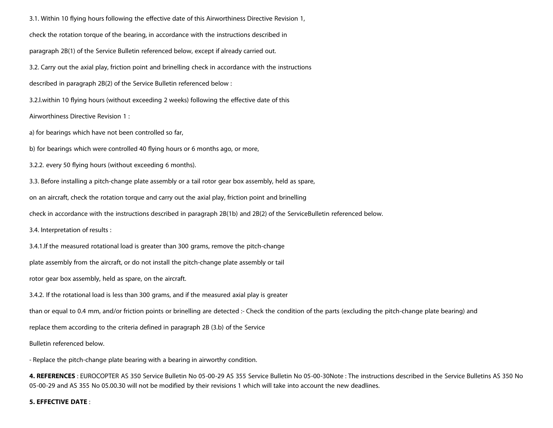3.1. Within 10 flying hours following the effective date of this Airworthiness Directive Revision 1, check the rotation torque of the bearing, in accordance with the instructions described in paragraph 2B(1) of the Service Bulletin referenced below, except if already carried out. 3.2. Carry out the axial play, friction point and brinelling check in accordance with the instructions described in paragraph 2B(2) of the Service Bulletin referenced below : 3.2.l.within 10 flying hours (without exceeding 2 weeks) following the effective date of this Airworthiness Directive Revision 1 : a) for bearings which have not been controlled so far, b) for bearings which were controlled 40 flying hours or 6 months ago, or more, 3.2.2. every 50 flying hours (without exceeding 6 months). 3.3. Before installing a pitch-change plate assembly or a tail rotor gear box assembly, held as spare, on an aircraft, check the rotation torque and carry out the axial play, friction point and brinelling check in accordance with the instructions described in paragraph 2B(1b) and 2B(2) of the ServiceBulletin referenced below. 3.4. Interpretation of results : 3.4.1.If the measured rotational load is greater than 300 grams, remove the pitch-change plate assembly from the aircraft, or do not install the pitch-change plate assembly or tail rotor gear box assembly, held as spare, on the aircraft. 3.4.2. If the rotational load is less than 300 grams, and if the measured axial play is greater than or equal to 0.4 mm, and/or friction points or brinelling are detected :- Check the condition of the parts (excluding the pitch-change plate bearing) and replace them according to the criteria defined in paragraph 2B (3.b) of the Service

Bulletin referenced below.

- Replace the pitch-change plate bearing with a bearing in airworthy condition.

**4. REFERENCES** : EUROCOPTER AS 350 Service Bulletin No 05-00-29 AS 355 Service Bulletin No 05-00-30Note : The instructions described in the Service Bulletins AS 350 No 05-00-29 and AS 355 No 05.00.30 will not be modified by their revisions 1 which will take into account the new deadlines.

#### **5. EFFECTIVE DATE** :